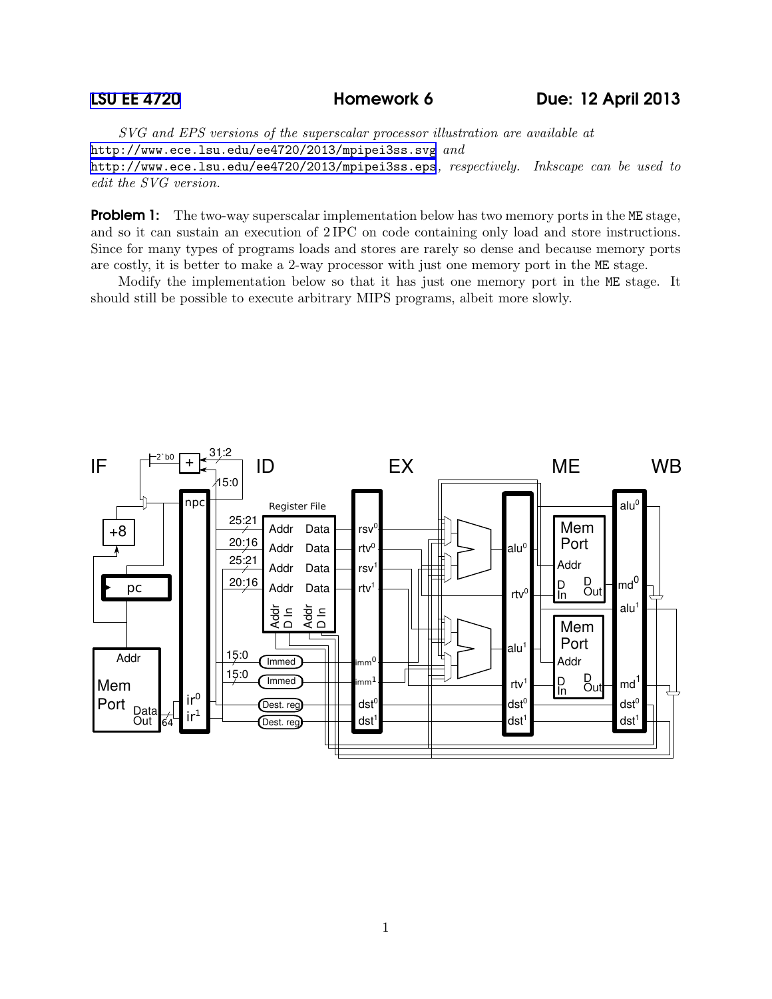*SVG and EPS versions of the superscalar processor illustration are available at* <http://www.ece.lsu.edu/ee4720/2013/mpipei3ss.svg> *and* <http://www.ece.lsu.edu/ee4720/2013/mpipei3ss.eps>*, respectively. Inkscape can be used to edit the SVG version.*

**Problem 1:** The two-way superscalar implementation below has two memory ports in the ME stage, and so it can sustain an execution of 2 IPC on code containing only load and store instructions. Since for many types of programs loads and stores are rarely so dense and because memory ports are costly, it is better to make a 2-way processor with just one memory port in the ME stage.

Modify the implementation below so that it has just one memory port in the ME stage. It should still be possible to execute arbitrary MIPS programs, albeit more slowly.